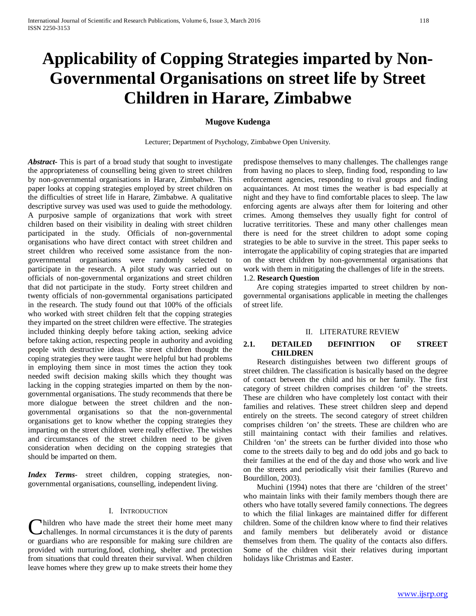# **Applicability of Copping Strategies imparted by Non-Governmental Organisations on street life by Street Children in Harare, Zimbabwe**

# **Mugove Kudenga**

Lecturer; Department of Psychology, Zimbabwe Open University.

*Abstract***-** This is part of a broad study that sought to investigate the appropriateness of counselling being given to street children by non-governmental organisations in Harare, Zimbabwe. This paper looks at copping strategies employed by street children on the difficulties of street life in Harare, Zimbabwe. A qualitative descriptive survey was used was used to guide the methodology. A purposive sample of organizations that work with street children based on their visibility in dealing with street children participated in the study. Officials of non-governmental organisations who have direct contact with street children and street children who received some assistance from the nongovernmental organisations were randomly selected to participate in the research. A pilot study was carried out on officials of non-governmental organizations and street children that did not participate in the study. Forty street children and twenty officials of non-governmental organisations participated in the research. The study found out that 100% of the officials who worked with street children felt that the copping strategies they imparted on the street children were effective. The strategies included thinking deeply before taking action, seeking advice before taking action, respecting people in authority and avoiding people with destructive ideas. The street children thought the coping strategies they were taught were helpful but had problems in employing them since in most times the action they took needed swift decision making skills which they thought was lacking in the copping strategies imparted on them by the nongovernmental organisations. The study recommends that there be more dialogue between the street children and the nongovernmental organisations so that the non-governmental organisations get to know whether the copping strategies they imparting on the street children were really effective. The wishes and circumstances of the street children need to be given consideration when deciding on the copping strategies that should be imparted on them.

*Index Terms*- street children, copping strategies, nongovernmental organisations, counselling, independent living.

## I. INTRODUCTION

hildren who have made the street their home meet many challenges. In normal circumstances it is the duty of parents Children who have made the street their home meet many challenges. In normal circumstances it is the duty of parents or guardians who are responsible for making sure children are provided with nurturing,food, clothing, shelter and protection from situations that could threaten their survival. When children leave homes where they grew up to make streets their home they

predispose themselves to many challenges. The challenges range from having no places to sleep, finding food, responding to law enforcement agencies, responding to rival groups and finding acquaintances. At most times the weather is bad especially at night and they have to find comfortable places to sleep. The law enforcing agents are always after them for loitering and other crimes. Among themselves they usually fight for control of lucrative territitories. These and many other challenges mean there is need for the street children to adopt some coping strategies to be able to survive in the street. This paper seeks to interrogate the applicability of coping strategies that are imparted on the street children by non-governmental organisations that work with them in mitigating the challenges of life in the streets.

## 1.2. **Research Question**

 Are coping strategies imparted to street children by nongovernmental organisations applicable in meeting the challenges of street life.

#### II. LITERATURE REVIEW

## **2.1. DETAILED DEFINITION OF STREET CHILDREN**

 Research distinguishes between two different groups of street children. The classification is basically based on the degree of contact between the child and his or her family. The first category of street children comprises children 'of' the streets. These are children who have completely lost contact with their families and relatives. These street children sleep and depend entirely on the streets. The second category of street children comprises children 'on' the streets. These are children who are still maintaining contact with their families and relatives. Children 'on' the streets can be further divided into those who come to the streets daily to beg and do odd jobs and go back to their families at the end of the day and those who work and live on the streets and periodically visit their families (Rurevo and Bourdillon, 2003).

 Muchini (1994) notes that there are 'children of the street' who maintain links with their family members though there are others who have totally severed family connections. The degrees to which the filial linkages are maintained differ for different children. Some of the children know where to find their relatives and family members but deliberately avoid or distance themselves from them. The quality of the contacts also differs. Some of the children visit their relatives during important holidays like Christmas and Easter.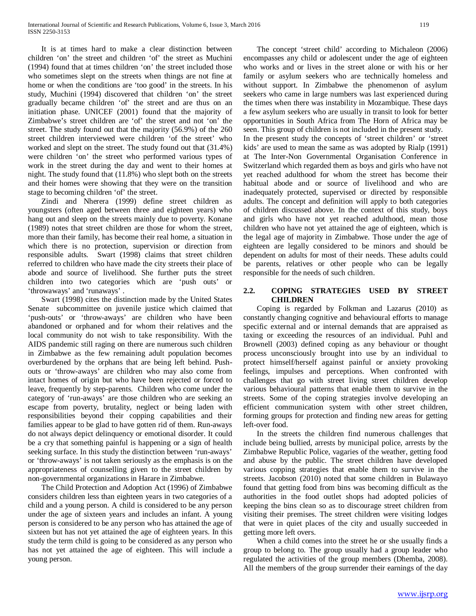It is at times hard to make a clear distinction between children 'on' the street and children 'of' the street as Muchini (1994) found that at times children 'on' the street included those who sometimes slept on the streets when things are not fine at home or when the conditions are 'too good' in the streets. In his study, Muchini (1994) discovered that children 'on' the street gradually became children 'of' the street and are thus on an initiation phase. UNICEF (2001) found that the majority of Zimbabwe's street children are 'of' the street and not 'on' the street. The study found out that the majority (56.9%) of the 260 street children interviewed were children 'of the street' who worked and slept on the street. The study found out that (31.4%) were children 'on' the street who performed various types of work in the street during the day and went to their homes at night. The study found that (11.8%) who slept both on the streets and their homes were showing that they were on the transition stage to becoming children 'of' the street.

 Zindi and Nherera (1999) define street children as youngsters (often aged between three and eighteen years) who hang out and sleep on the streets mainly due to poverty. Konane (1989) notes that street children are those for whom the street, more than their family, has become their real home, a situation in which there is no protection, supervision or direction from responsible adults. Swart (1998) claims that street children referred to children who have made the city streets their place of abode and source of livelihood. She further puts the street children into two categories which are 'push outs' or 'throwaways' and 'runaways' .

 Swart (1998) cites the distinction made by the United States Senate subcommittee on juvenile justice which claimed that 'push-outs' or 'throw-aways' are children who have been abandoned or orphaned and for whom their relatives and the local community do not wish to take responsibility. With the AIDS pandemic still raging on there are numerous such children in Zimbabwe as the few remaining adult population becomes overburdened by the orphans that are being left behind. Pushouts or 'throw-aways' are children who may also come from intact homes of origin but who have been rejected or forced to leave, frequently by step-parents. Children who come under the category of 'run-aways' are those children who are seeking an escape from poverty, brutality, neglect or being laden with responsibilities beyond their copping capabilities and their families appear to be glad to have gotten rid of them. Run-aways do not always depict delinquency or emotional disorder. It could be a cry that something painful is happening or a sign of health seeking surface. In this study the distinction between 'run-aways' or 'throw-aways' is not taken seriously as the emphasis is on the appropriateness of counselling given to the street children by non-governmental organizations in Harare in Zimbabwe.

 The Child Protection and Adoption Act (1996) of Zimbabwe considers children less than eighteen years in two categories of a child and a young person. A child is considered to be any person under the age of sixteen years and includes an infant. A young person is considered to be any person who has attained the age of sixteen but has not yet attained the age of eighteen years. In this study the term child is going to be considered as any person who has not yet attained the age of eighteen. This will include a young person.

 The concept 'street child' according to Michaleon (2006) encompasses any child or adolescent under the age of eighteen who works and or lives in the street alone or with his or her family or asylum seekers who are technically homeless and without support. In Zimbabwe the phenomenon of asylum seekers who came in large numbers was last experienced during the times when there was instability in Mozambique. These days a few asylum seekers who are usually in transit to look for better opportunities in South Africa from The Horn of Africa may be seen. This group of children is not included in the present study. In the present study the concepts of 'street children' or 'street kids' are used to mean the same as was adopted by Rialp (1991) at The Inter-Non Governmental Organisation Conference in Switzerland which regarded them as boys and girls who have not yet reached adulthood for whom the street has become their habitual abode and or source of livelihood and who are inadequately protected, supervised or directed by responsible adults. The concept and definition will apply to both categories of children discussed above. In the context of this study, boys and girls who have not yet reached adulthood, mean those children who have not yet attained the age of eighteen, which is the legal age of majority in Zimbabwe. Those under the age of eighteen are legally considered to be minors and should be dependent on adults for most of their needs. These adults could be parents, relatives or other people who can be legally responsible for the needs of such children.

# **2.2. COPING STRATEGIES USED BY STREET CHILDREN**

 Coping is regarded by Folkman and Lazarus (2010) as constantly changing cognitive and behavioural efforts to manage specific external and or internal demands that are appraised as taxing or exceeding the resources of an individual. Puhl and Brownell (2003) defined coping as any behaviour or thought process unconsciously brought into use by an individual to protect himself/herself against painful or anxiety provoking feelings, impulses and perceptions. When confronted with challenges that go with street living street children develop various behavioural patterns that enable them to survive in the streets. Some of the coping strategies involve developing an efficient communication system with other street children, forming groups for protection and finding new areas for getting left-over food.

 In the streets the children find numerous challenges that include being bullied, arrests by municipal police, arrests by the Zimbabwe Republic Police, vagaries of the weather, getting food and abuse by the public. The street children have developed various copping strategies that enable them to survive in the streets. Jacobson (2010) noted that some children in Bulawayo found that getting food from bins was becoming difficult as the authorities in the food outlet shops had adopted policies of keeping the bins clean so as to discourage street children from visiting their premises. The street children were visiting lodges that were in quiet places of the city and usually succeeded in getting more left overs.

 When a child comes into the street he or she usually finds a group to belong to. The group usually had a group leader who regulated the activities of the group members (Dhemba, 2008). All the members of the group surrender their earnings of the day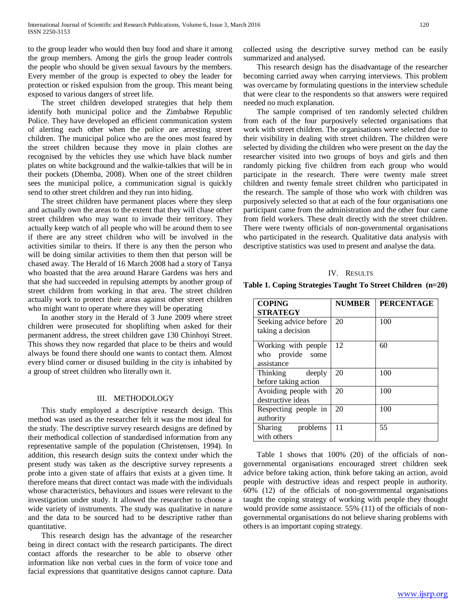to the group leader who would then buy food and share it among the group members. Among the girls the group leader controls the people who should be given sexual favours by the members. Every member of the group is expected to obey the leader for protection or risked expulsion from the group. This meant being exposed to various dangers of street life.

 The street children developed strategies that help them identify both municipal police and the Zimbabwe Republic Police. They have developed an efficient communication system of alerting each other when the police are arresting street children. The municipal police who are the ones most feared by the street children because they move in plain clothes are recognised by the vehicles they use which have black number plates on white background and the walkie-talkies that will be in their pockets (Dhemba, 2008). When one of the street children sees the municipal police, a communication signal is quickly send to other street children and they run into hiding.

 The street children have permanent places where they sleep and actually own the areas to the extent that they will chase other street children who may want to invade their territory. They actually keep watch of all people who will be around them to see if there are any street children who will be involved in the activities similar to theirs. If there is any then the person who will be doing similar activities to them then that person will be chased away. The Herald of 16 March 2008 had a story of Tanya who boasted that the area around Harare Gardens was hers and that she had succeeded in repulsing attempts by another group of street children from working in that area. The street children actually work to protect their areas against other street children who might want to operate where they will be operating

 In another story in the Herald of 3 June 2009 where street children were prosecuted for shoplifting when asked for their permanent address, the street children gave 130 Chinhoyi Street. This shows they now regarded that place to be theirs and would always be found there should one wants to contact them. Almost every blind corner or disused building in the city is inhabited by a group of street children who literally own it.

#### III. METHODOLOGY

 This study employed a descriptive research design. This method was used as the researcher felt it was the most ideal for the study. The descriptive survey research designs are defined by their methodical collection of standardised information from any representative sample of the population (Christensen, 1994). In addition, this research design suits the context under which the present study was taken as the descriptive survey represents a probe into a given state of affairs that exists at a given time. It therefore means that direct contact was made with the individuals whose characteristics, behaviours and issues were relevant to the investigation under study. It allowed the researcher to choose a wide variety of instruments. The study was qualitative in nature and the data to be sourced had to be descriptive rather than quantitative.

 This research design has the advantage of the researcher being in direct contact with the research participants. The direct contact affords the researcher to be able to observe other information like non verbal cues in the form of voice tone and facial expressions that quantitative designs cannot capture. Data collected using the descriptive survey method can be easily summarized and analysed.

 This research design has the disadvantage of the researcher becoming carried away when carrying interviews. This problem was overcame by formulating questions in the interview schedule that were clear to the respondents so that answers were required needed no much explanation.

 The sample comprised of ten randomly selected children from each of the four purposively selected organisations that work with street children. The organisations were selected due to their visibility in dealing with street children. The children were selected by dividing the children who were present on the day the researcher visited into two groups of boys and girls and then randomly picking five children from each group who would participate in the research. There were twenty male street children and twenty female street children who participated in the research. The sample of those who work with children was purposively selected so that at each of the four organisations one participant came from the administration and the other four came from field workers. These dealt directly with the street children. There were twenty officials of non-governmental organisations who participated in the research. Qualitative data analysis with descriptive statistics was used to present and analyse the data.

#### IV. RESULTS

**Table 1. Coping Strategies Taught To Street Children (n=20)**

| <b>COPING</b><br><b>STRATEGY</b>                      | <b>NUMBER</b> | <b>PERCENTAGE</b> |
|-------------------------------------------------------|---------------|-------------------|
| Seeking advice before<br>taking a decision            | 20            | 100               |
| Working with people<br>who provide some<br>assistance | 12            | 60                |
| Thinking deeply<br>before taking action               | 20            | 100               |
| Avoiding people with<br>destructive ideas             | 20            | 100               |
| Respecting people in<br>authority                     | 20            | 100               |
| Sharing problems<br>with others                       | 11            | 55                |

 Table 1 shows that 100% (20) of the officials of nongovernmental organisations encouraged street children seek advice before taking action, think before taking an action, avoid people with destructive ideas and respect people in authority. 60% (12) of the officials of non-governmental organisations taught the coping strategy of working with people they thought would provide some assistance. 55% (11) of the officials of nongovernmental organisations do not believe sharing problems with others is an important coping strategy.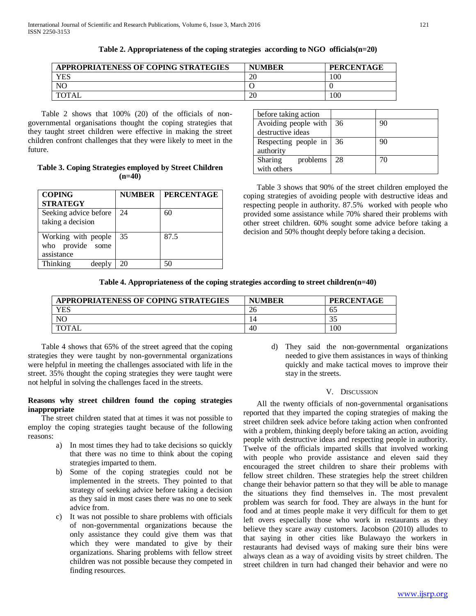| APPROPRIATENESS OF COPING STRATEGIES | <b>NUMBER</b> | <b>PERCENTAGE</b> |
|--------------------------------------|---------------|-------------------|
| YES                                  | 20            | 100               |
| NC                                   |               |                   |
| <b>TOTAL</b>                         | 20            | 100               |

**Table 2. Appropriateness of the coping strategies according to NGO officials(n=20)**

 Table 2 shows that 100% (20) of the officials of nongovernmental organisations thought the coping strategies that they taught street children were effective in making the street children confront challenges that they were likely to meet in the future.

# **Table 3. Coping Strategies employed by Street Children (n=40)**

| <b>COPING</b><br><b>STRATEGY</b>                      | <b>NUMBER</b> | <b>PERCENTAGE</b> |
|-------------------------------------------------------|---------------|-------------------|
| Seeking advice before<br>taking a decision            | 24            | 60                |
| Working with people<br>who provide some<br>assistance | 35            | 87.5              |
| Thinking<br>deeply                                    | 20            | 50                |

| before taking action |    |    |
|----------------------|----|----|
| Avoiding people with | 36 | 90 |
| destructive ideas    |    |    |
| Respecting people in | 36 | 90 |
| authority            |    |    |
| Sharing<br>problems  | 28 | 70 |
| with others          |    |    |

 Table 3 shows that 90% of the street children employed the coping strategies of avoiding people with destructive ideas and respecting people in authority. 87.5% worked with people who provided some assistance while 70% shared their problems with other street children. 60% sought some advice before taking a decision and 50% thought deeply before taking a decision.

# **Table 4. Appropriateness of the coping strategies according to street children(n=40)**

| APPROPRIATENESS OF COPING STRATEGIES | <b>NUMBER</b> | <b>PERCENTAGE</b> |
|--------------------------------------|---------------|-------------------|
| YES                                  |               | 02                |
| <b>NC</b>                            |               |                   |
| 'OTAL                                | 40            | l 00              |

 Table 4 shows that 65% of the street agreed that the coping strategies they were taught by non-governmental organizations were helpful in meeting the challenges associated with life in the street. 35% thought the coping strategies they were taught were not helpful in solving the challenges faced in the streets.

# **Reasons why street children found the coping strategies inappropriate**

 The street children stated that at times it was not possible to employ the coping strategies taught because of the following reasons:

- a) In most times they had to take decisions so quickly that there was no time to think about the coping strategies imparted to them.
- b) Some of the coping strategies could not be implemented in the streets. They pointed to that strategy of seeking advice before taking a decision as they said in most cases there was no one to seek advice from.
- c) It was not possible to share problems with officials of non-governmental organizations because the only assistance they could give them was that which they were mandated to give by their organizations. Sharing problems with fellow street children was not possible because they competed in finding resources.

d) They said the non-governmental organizations needed to give them assistances in ways of thinking quickly and make tactical moves to improve their stay in the streets.

## V. DISCUSSION

 All the twenty officials of non-governmental organisations reported that they imparted the coping strategies of making the street children seek advice before taking action when confronted with a problem, thinking deeply before taking an action, avoiding people with destructive ideas and respecting people in authority. Twelve of the officials imparted skills that involved working with people who provide assistance and eleven said they encouraged the street children to share their problems with fellow street children. These strategies help the street children change their behavior pattern so that they will be able to manage the situations they find themselves in. The most prevalent problem was search for food. They are always in the hunt for food and at times people make it very difficult for them to get left overs especially those who work in restaurants as they believe they scare away customers. Jacobson (2010) alludes to that saying in other cities like Bulawayo the workers in restaurants had devised ways of making sure their bins were always clean as a way of avoiding visits by street children. The street children in turn had changed their behavior and were no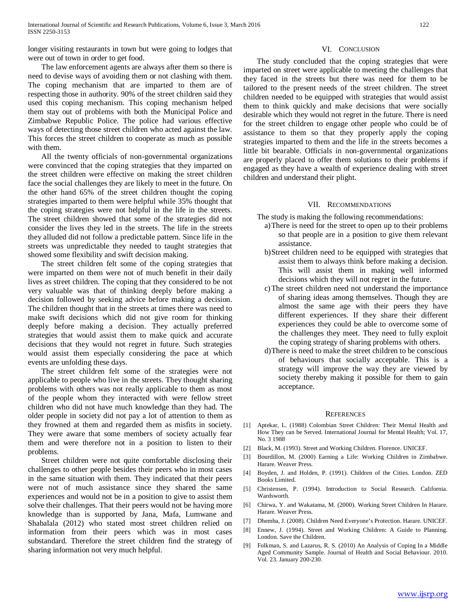longer visiting restaurants in town but were going to lodges that were out of town in order to get food.

#### VI. CONCLUSION

 The law enforcement agents are always after them so there is need to devise ways of avoiding them or not clashing with them. The coping mechanism that are imparted to them are of respecting those in authority. 90% of the street children said they used this coping mechanism. This coping mechanism helped them stay out of problems with both the Municipal Police and Zimbabwe Republic Police. The police had various effective ways of detecting those street children who acted against the law. This forces the street children to cooperate as much as possible with them.

 All the twenty officials of non-governmental organizations were convinced that the coping strategies that they imparted on the street children were effective on making the street children face the social challenges they are likely to meet in the future. On the other hand 65% of the street children thought the coping strategies imparted to them were helpful while 35% thought that the coping strategies were not helpful in the life in the streets. The street children showed that some of the strategies did not consider the lives they led in the streets. The life in the streets they alluded did not follow a predictable pattern. Since life in the streets was unpredictable they needed to taught strategies that showed some flexibility and swift decision making.

 The street children felt some of the coping strategies that were imparted on them were not of much benefit in their daily lives as street children. The coping that they considered to be not very valuable was that of thinking deeply before making a decision followed by seeking advice before making a decision. The children thought that in the streets at times there was need to make swift decisions which did not give room for thinking deeply before making a decision. They actually preferred strategies that would assist them to make quick and accurate decisions that they would not regret in future. Such strategies would assist them especially considering the pace at which events are unfolding these days.

 The street children felt some of the strategies were not applicable to people who live in the streets. They thought sharing problems with others was not really applicable to them as most of the people whom they interacted with were fellow street children who did not have much knowledge than they had. The older people in society did not pay a lot of attention to them as they frowned at them and regarded them as misfits in society. They were aware that some members of society actually fear them and were therefore not in a position to listen to their problems.

 Street children were not quite comfortable disclosing their challenges to other people besides their peers who in most cases in the same situation with them. They indicated that their peers were not of much assistance since they shared the same experiences and would not be in a position to give to assist them solve their challenges. That their peers would not be having more knowledge than is supported by Jana, Mafa, Lumwane and Shabalala (2012) who stated most street children relied on information from their peers which was in most cases substandard. Therefore the street children find the strategy of sharing information not very much helpful.

 The study concluded that the coping strategies that were imparted on street were applicable to meeting the challenges that they faced in the streets but there was need for them to be tailored to the present needs of the street children. The street children needed to be equipped with strategies that would assist them to think quickly and make decisions that were socially desirable which they would not regret in the future. There is need for the street children to engage other people who could be of assistance to them so that they properly apply the coping strategies imparted to them and the life in the streets becomes a little bit bearable. Officials in non-governmental organizations are properly placed to offer them solutions to their problems if engaged as they have a wealth of experience dealing with street children and understand their plight.

#### VII. RECOMMENDATIONS

The study is making the following recommendations:

- a)There is need for the street to open up to their problems so that people are in a position to give them relevant assistance.
- b)Street children need to be equipped with strategies that assist them to always think before making a decision. This will assist them in making well informed decisions which they will not regret in the future.
- c)The street children need not understand the importance of sharing ideas among themselves. Though they are almost the same age with their peers they have different experiences. If they share their different experiences they could be able to overcome some of the challenges they meet. They need to fully exploit the coping strategy of sharing problems with others.
- d)There is need to make the street children to be conscious of behaviours that socially acceptable. This is a strategy will improve the way they are viewed by society thereby making it possible for them to gain acceptance.

#### **REFERENCES**

- [1] Aptekar, L. (1988) Colombian Street Children: Their Mental Health and How They can be Served. International Journal for Mental Health; Vol. 17, No. 3 1988
- [2] Black, M. (1993). Street and Working Children. Florence. UNICEF.
- [3] Bourdillon, M. (2000) Earning a Life: Working Children in Zimbabwe. Harare. Weaver Press.
- [4] Boyden, J. and Holden, P. (1991). Children of the Cities. London. ZED Books Limited.
- [5] Christensen, P. (1994). Introduction to Social Research. California. Wardsworth.
- [6] Chirwa, Y. and Wakatama, M. (2000). Working Street Children In Harare. Harare. Weaver Press.
- [7] Dhemba, J. (2008). Children Need Everyone's Protection. Harare. UNICEF.
- [8] Ennew, J. (1994). Street and Working Children: A Guide to Planning. London. Save the Children.
- [9] Folkman, S. and Lazarus, R. S. (2010) An Analysis of Coping In a Middle Aged Community Sample. Journal of Health and Social Behaviour. 2010. Vol. 23. January 200-230.